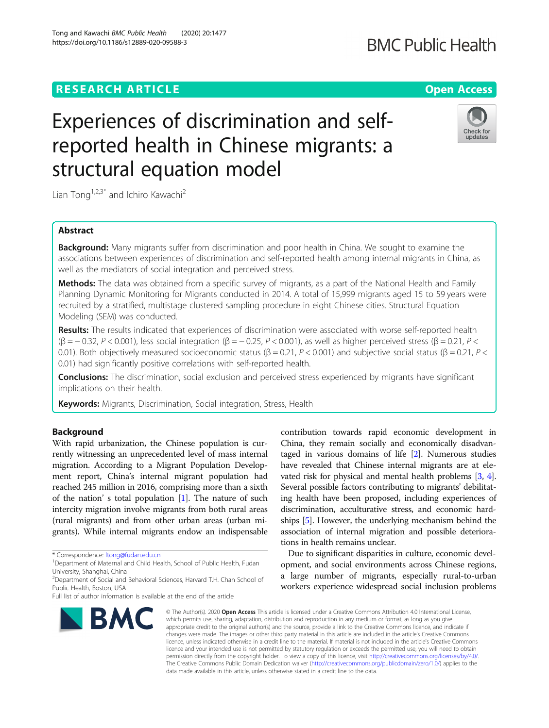## **RESEARCH ARTICLE Example 2014 12:30 The Contract of Contract ACCESS**

# Experiences of discrimination and selfreported health in Chinese migrants: a structural equation model

Lian Tong<sup>1,2,3\*</sup> and Ichiro Kawachi<sup>2</sup>

## Abstract

Background: Many migrants suffer from discrimination and poor health in China. We sought to examine the associations between experiences of discrimination and self-reported health among internal migrants in China, as well as the mediators of social integration and perceived stress.

Methods: The data was obtained from a specific survey of migrants, as a part of the National Health and Family Planning Dynamic Monitoring for Migrants conducted in 2014. A total of 15,999 migrants aged 15 to 59 years were recruited by a stratified, multistage clustered sampling procedure in eight Chinese cities. Structural Equation Modeling (SEM) was conducted.

Results: The results indicated that experiences of discrimination were associated with worse self-reported health ( $\beta$  = − 0.32, P < 0.001), less social integration ( $\beta$  = − 0.25, P < 0.001), as well as higher perceived stress ( $\beta$  = 0.21, P < 0.01). Both objectively measured socioeconomic status (β = 0.21, P < 0.001) and subjective social status (β = 0.21, P < 0.01) had significantly positive correlations with self-reported health.

Conclusions: The discrimination, social exclusion and perceived stress experienced by migrants have significant implications on their health.

Keywords: Migrants, Discrimination, Social integration, Stress, Health

## Background

With rapid urbanization, the Chinese population is currently witnessing an unprecedented level of mass internal migration. According to a Migrant Population Development report, China's internal migrant population had reached 245 million in 2016, comprising more than a sixth of the nation' s total population  $[1]$  $[1]$ . The nature of such intercity migration involve migrants from both rural areas (rural migrants) and from other urban areas (urban migrants). While internal migrants endow an indispensable

\* Correspondence: [ltong@fudan.edu.cn](mailto:ltong@fudan.edu.cn) <sup>1</sup>

**BMC** 

<sup>1</sup>Department of Maternal and Child Health, School of Public Health, Fudan University, Shanghai, China

<sup>2</sup>Department of Social and Behavioral Sciences, Harvard T.H. Chan School of Public Health, Boston, USA

China, they remain socially and economically disadvantaged in various domains of life [[2\]](#page-8-0). Numerous studies have revealed that Chinese internal migrants are at elevated risk for physical and mental health problems [\[3](#page-8-0), [4](#page-8-0)]. Several possible factors contributing to migrants' debilitating health have been proposed, including experiences of discrimination, acculturative stress, and economic hardships [\[5\]](#page-8-0). However, the underlying mechanism behind the association of internal migration and possible deteriorations in health remains unclear. Due to significant disparities in culture, economic devel-

contribution towards rapid economic development in

opment, and social environments across Chinese regions, a large number of migrants, especially rural-to-urban workers experience widespread social inclusion problems

© The Author(s), 2020 **Open Access** This article is licensed under a Creative Commons Attribution 4.0 International License, which permits use, sharing, adaptation, distribution and reproduction in any medium or format, as long as you give appropriate credit to the original author(s) and the source, provide a link to the Creative Commons licence, and indicate if changes were made. The images or other third party material in this article are included in the article's Creative Commons licence, unless indicated otherwise in a credit line to the material. If material is not included in the article's Creative Commons licence and your intended use is not permitted by statutory regulation or exceeds the permitted use, you will need to obtain permission directly from the copyright holder. To view a copy of this licence, visit [http://creativecommons.org/licenses/by/4.0/.](http://creativecommons.org/licenses/by/4.0/) The Creative Commons Public Domain Dedication waiver [\(http://creativecommons.org/publicdomain/zero/1.0/](http://creativecommons.org/publicdomain/zero/1.0/)) applies to the data made available in this article, unless otherwise stated in a credit line to the data.







Full list of author information is available at the end of the article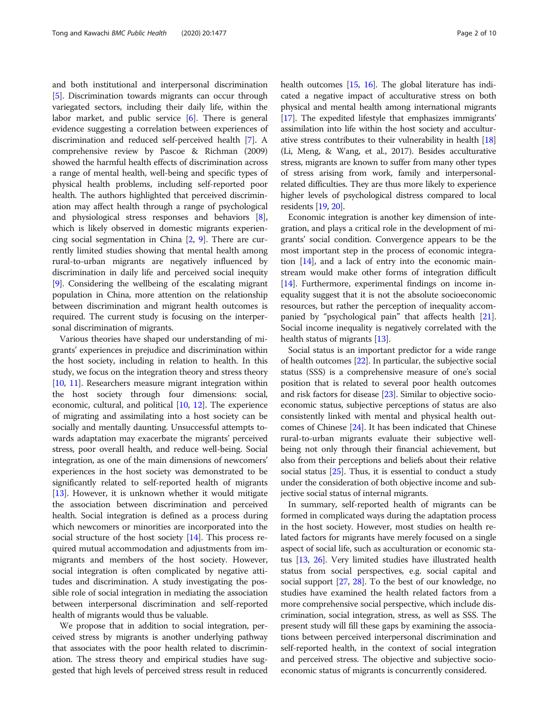and both institutional and interpersonal discrimination [[5\]](#page-8-0). Discrimination towards migrants can occur through variegated sectors, including their daily life, within the labor market, and public service [[6\]](#page-8-0). There is general evidence suggesting a correlation between experiences of discrimination and reduced self-perceived health [[7](#page-8-0)]. A comprehensive review by Pascoe & Richman (2009) showed the harmful health effects of discrimination across a range of mental health, well-being and specific types of physical health problems, including self-reported poor health. The authors highlighted that perceived discrimination may affect health through a range of psychological and physiological stress responses and behaviors [[8](#page-8-0)], which is likely observed in domestic migrants experiencing social segmentation in China [[2](#page-8-0), [9](#page-8-0)]. There are currently limited studies showing that mental health among rural-to-urban migrants are negatively influenced by discrimination in daily life and perceived social inequity [[9\]](#page-8-0). Considering the wellbeing of the escalating migrant population in China, more attention on the relationship between discrimination and migrant health outcomes is required. The current study is focusing on the interpersonal discrimination of migrants.

Various theories have shaped our understanding of migrants' experiences in prejudice and discrimination within the host society, including in relation to health. In this study, we focus on the integration theory and stress theory [[10](#page-8-0), [11\]](#page-8-0). Researchers measure migrant integration within the host society through four dimensions: social, economic, cultural, and political [\[10,](#page-8-0) [12](#page-8-0)]. The experience of migrating and assimilating into a host society can be socially and mentally daunting. Unsuccessful attempts towards adaptation may exacerbate the migrants' perceived stress, poor overall health, and reduce well-being. Social integration, as one of the main dimensions of newcomers' experiences in the host society was demonstrated to be significantly related to self-reported health of migrants [[13](#page-8-0)]. However, it is unknown whether it would mitigate the association between discrimination and perceived health. Social integration is defined as a process during which newcomers or minorities are incorporated into the social structure of the host society [\[14](#page-8-0)]. This process required mutual accommodation and adjustments from immigrants and members of the host society. However, social integration is often complicated by negative attitudes and discrimination. A study investigating the possible role of social integration in mediating the association between interpersonal discrimination and self-reported health of migrants would thus be valuable.

We propose that in addition to social integration, perceived stress by migrants is another underlying pathway that associates with the poor health related to discrimination. The stress theory and empirical studies have suggested that high levels of perceived stress result in reduced health outcomes [\[15,](#page-8-0) [16\]](#page-8-0). The global literature has indicated a negative impact of acculturative stress on both physical and mental health among international migrants [[17](#page-8-0)]. The expedited lifestyle that emphasizes immigrants' assimilation into life within the host society and acculturative stress contributes to their vulnerability in health [\[18](#page-8-0)] (Li, Meng, & Wang, et al., 2017). Besides acculturative stress, migrants are known to suffer from many other types of stress arising from work, family and interpersonalrelated difficulties. They are thus more likely to experience higher levels of psychological distress compared to local residents [\[19,](#page-8-0) [20](#page-8-0)].

Economic integration is another key dimension of integration, and plays a critical role in the development of migrants' social condition. Convergence appears to be the most important step in the process of economic integration [\[14\]](#page-8-0), and a lack of entry into the economic mainstream would make other forms of integration difficult [[14](#page-8-0)]. Furthermore, experimental findings on income inequality suggest that it is not the absolute socioeconomic resources, but rather the perception of inequality accompanied by "psychological pain" that affects health [[21](#page-8-0)]. Social income inequality is negatively correlated with the health status of migrants [\[13\]](#page-8-0).

Social status is an important predictor for a wide range of health outcomes [\[22\]](#page-8-0). In particular, the subjective social status (SSS) is a comprehensive measure of one's social position that is related to several poor health outcomes and risk factors for disease [\[23\]](#page-8-0). Similar to objective socioeconomic status, subjective perceptions of status are also consistently linked with mental and physical health outcomes of Chinese [\[24\]](#page-8-0). It has been indicated that Chinese rural-to-urban migrants evaluate their subjective wellbeing not only through their financial achievement, but also from their perceptions and beliefs about their relative social status [\[25](#page-8-0)]. Thus, it is essential to conduct a study under the consideration of both objective income and subjective social status of internal migrants.

In summary, self-reported health of migrants can be formed in complicated ways during the adaptation process in the host society. However, most studies on health related factors for migrants have merely focused on a single aspect of social life, such as acculturation or economic status [\[13,](#page-8-0) [26\]](#page-8-0). Very limited studies have illustrated health status from social perspectives, e.g. social capital and social support [[27](#page-8-0), [28](#page-8-0)]. To the best of our knowledge, no studies have examined the health related factors from a more comprehensive social perspective, which include discrimination, social integration, stress, as well as SSS. The present study will fill these gaps by examining the associations between perceived interpersonal discrimination and self-reported health, in the context of social integration and perceived stress. The objective and subjective socioeconomic status of migrants is concurrently considered.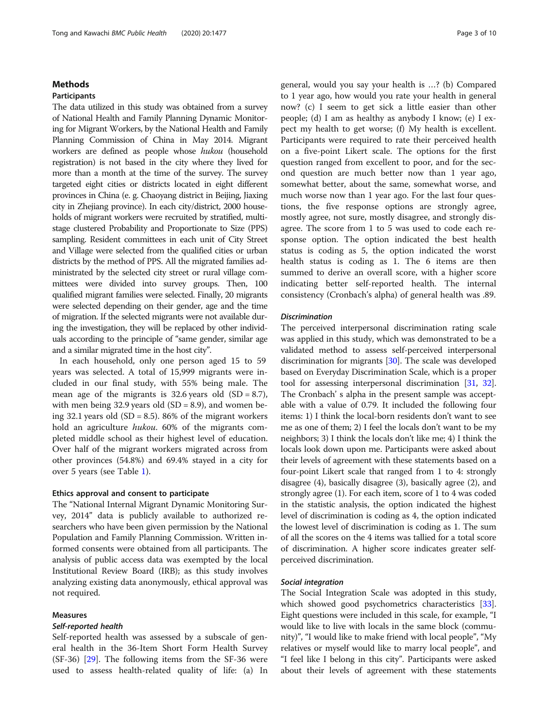## Methods

#### Participants

The data utilized in this study was obtained from a survey of National Health and Family Planning Dynamic Monitoring for Migrant Workers, by the National Health and Family Planning Commission of China in May 2014. Migrant workers are defined as people whose hukou (household registration) is not based in the city where they lived for more than a month at the time of the survey. The survey targeted eight cities or districts located in eight different provinces in China (e. g. Chaoyang district in Beijing, Jiaxing city in Zhejiang province). In each city/district, 2000 households of migrant workers were recruited by stratified, multistage clustered Probability and Proportionate to Size (PPS) sampling. Resident committees in each unit of City Street and Village were selected from the qualified cities or urban districts by the method of PPS. All the migrated families administrated by the selected city street or rural village committees were divided into survey groups. Then, 100 qualified migrant families were selected. Finally, 20 migrants were selected depending on their gender, age and the time of migration. If the selected migrants were not available during the investigation, they will be replaced by other individuals according to the principle of "same gender, similar age and a similar migrated time in the host city".

In each household, only one person aged 15 to 59 years was selected. A total of 15,999 migrants were included in our final study, with 55% being male. The mean age of the migrants is  $32.6$  years old  $(SD = 8.7)$ , with men being 32.9 years old (SD = 8.9), and women being 32.1 years old  $(SD = 8.5)$ . 86% of the migrant workers hold an agriculture *hukou*. 60% of the migrants completed middle school as their highest level of education. Over half of the migrant workers migrated across from other provinces (54.8%) and 69.4% stayed in a city for over 5 years (see Table [1](#page-3-0)).

#### Ethics approval and consent to participate

The "National Internal Migrant Dynamic Monitoring Survey, 2014" data is publicly available to authorized researchers who have been given permission by the National Population and Family Planning Commission. Written informed consents were obtained from all participants. The analysis of public access data was exempted by the local Institutional Review Board (IRB); as this study involves analyzing existing data anonymously, ethical approval was not required.

#### Measures

## Self-reported health

Self-reported health was assessed by a subscale of general health in the 36-Item Short Form Health Survey (SF-36) [[29\]](#page-8-0). The following items from the SF-36 were used to assess health-related quality of life: (a) In general, would you say your health is …? (b) Compared to 1 year ago, how would you rate your health in general now? (c) I seem to get sick a little easier than other people; (d) I am as healthy as anybody I know; (e) I expect my health to get worse; (f) My health is excellent. Participants were required to rate their perceived health on a five-point Likert scale. The options for the first question ranged from excellent to poor, and for the second question are much better now than 1 year ago, somewhat better, about the same, somewhat worse, and much worse now than 1 year ago. For the last four questions, the five response options are strongly agree, mostly agree, not sure, mostly disagree, and strongly disagree. The score from 1 to 5 was used to code each response option. The option indicated the best health status is coding as 5, the option indicated the worst health status is coding as 1. The 6 items are then summed to derive an overall score, with a higher score indicating better self-reported health. The internal consistency (Cronbach's alpha) of general health was .89.

#### Discrimination

The perceived interpersonal discrimination rating scale was applied in this study, which was demonstrated to be a validated method to assess self-perceived interpersonal discrimination for migrants [\[30\]](#page-8-0). The scale was developed based on Everyday Discrimination Scale, which is a proper tool for assessing interpersonal discrimination [[31](#page-8-0), [32](#page-8-0)]. The Cronbach' s alpha in the present sample was acceptable with a value of 0.79. It included the following four items: 1) I think the local-born residents don't want to see me as one of them; 2) I feel the locals don't want to be my neighbors; 3) I think the locals don't like me; 4) I think the locals look down upon me. Participants were asked about their levels of agreement with these statements based on a four-point Likert scale that ranged from 1 to 4: strongly disagree (4), basically disagree (3), basically agree (2), and strongly agree (1). For each item, score of 1 to 4 was coded in the statistic analysis, the option indicated the highest level of discrimination is coding as 4, the option indicated the lowest level of discrimination is coding as 1. The sum of all the scores on the 4 items was tallied for a total score of discrimination. A higher score indicates greater selfperceived discrimination.

#### Social integration

The Social Integration Scale was adopted in this study, which showed good psychometrics characteristics [[33](#page-8-0)]. Eight questions were included in this scale, for example, "I would like to live with locals in the same block (community)", "I would like to make friend with local people", "My relatives or myself would like to marry local people", and "I feel like I belong in this city". Participants were asked about their levels of agreement with these statements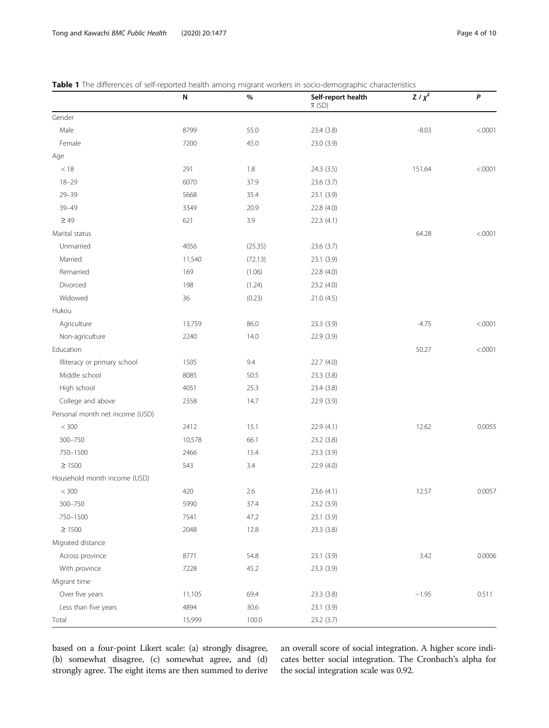## <span id="page-3-0"></span>Table 1 The differences of self-reported health among migrant workers in socio-demographic characteristics

|                                 | ${\sf N}$ | $\%$    | Self-report health<br>$\overline{x}$ (SD) | $Z / \chi^2$ | $\boldsymbol{P}$ |
|---------------------------------|-----------|---------|-------------------------------------------|--------------|------------------|
| Gender                          |           |         |                                           |              |                  |
| Male                            | 8799      | 55.0    | 23.4 (3.8)                                | $-8.03$      | < .0001          |
| Female                          | 7200      | 45.0    | 23.0 (3.9)                                |              |                  |
| Age                             |           |         |                                           |              |                  |
| < 18                            | 291       | 1.8     | 24.3(3.5)                                 | 151.64       | < .0001          |
| $18 - 29$                       | 6070      | 37.9    | 23.6 (3.7)                                |              |                  |
| $29 - 39$                       | 5668      | 35.4    | 23.1 (3.9)                                |              |                  |
| 39-49                           | 3349      | 20.9    | 22.8 (4.0)                                |              |                  |
| $\geq 49$                       | 621       | 3.9     | 22.3(4.1)                                 |              |                  |
| Marital status                  |           |         |                                           | 64.28        | < .0001          |
| Unmarried                       | 4056      | (25.35) | 23.6(3.7)                                 |              |                  |
| Married                         | 11,540    | (72.13) | 23.1 (3.9)                                |              |                  |
| Remarried                       | 169       | (1.06)  | 22.8 (4.0)                                |              |                  |
| Divorced                        | 198       | (1.24)  | 23.2 (4.0)                                |              |                  |
| Widowed                         | 36        | (0.23)  | 21.0(4.5)                                 |              |                  |
| Hukou                           |           |         |                                           |              |                  |
| Agriculture                     | 13,759    | 86.0    | 23.3(3.9)                                 | $-4.75$      | < .0001          |
| Non-agriculture                 | 2240      | 14.0    | 22.9 (3.9)                                |              |                  |
| Education                       |           |         |                                           | 50.27        | < .0001          |
| Illiteracy or primary school    | 1505      | 9.4     | 22.7 (4.0)                                |              |                  |
| Middle school                   | 8085      | 50.5    | 23.3 (3.8)                                |              |                  |
| High school                     | 4051      | 25.3    | 23.4 (3.8)                                |              |                  |
| College and above               | 2358      | 14.7    | 22.9 (3.9)                                |              |                  |
| Personal month net income (USD) |           |         |                                           |              |                  |
| $< 300$                         | 2412      | 15.1    | 22.9 (4.1)                                | 12.62        | 0.0055           |
| 300-750                         | 10,578    | 66.1    | 23.2 (3.8)                                |              |                  |
| 750-1500                        | 2466      | 15.4    | 23.3 (3.9)                                |              |                  |
| $\geq 1500$                     | 543       | 3.4     | 22.9 (4.0)                                |              |                  |
| Household month income (USD)    |           |         |                                           |              |                  |
| $< 300$                         | 420       | 2.6     | 23.6 (4.1)                                | 12.57        | 0.0057           |
| 300-750                         | 5990      | 37.4    | 23.2 (3.9)                                |              |                  |
| 750-1500                        | 7541      | 47.2    | 23.1 (3.9)                                |              |                  |
| $\geq$ 1500                     | 2048      | 12.8    | 23.3 (3.8)                                |              |                  |
| Migrated distance               |           |         |                                           |              |                  |
| Across province                 | 8771      | 54.8    | 23.1 (3.9)                                | 3.42         | 0.0006           |
| With province                   | 7228      | 45.2    | 23.3 (3.9)                                |              |                  |
| Migrant time                    |           |         |                                           |              |                  |
| Over five years                 | 11,105    | 69.4    | 23.3 (3.8)                                | $-1.95$      | 0.511            |
| Less than five years            | 4894      | 30.6    | 23.1 (3.9)                                |              |                  |
| Total                           | 15,999    | 100.0   | 23.2 (3.7)                                |              |                  |

based on a four-point Likert scale: (a) strongly disagree, (b) somewhat disagree, (c) somewhat agree, and (d) strongly agree. The eight items are then summed to derive an overall score of social integration. A higher score indicates better social integration. The Cronbach's alpha for the social integration scale was 0.92.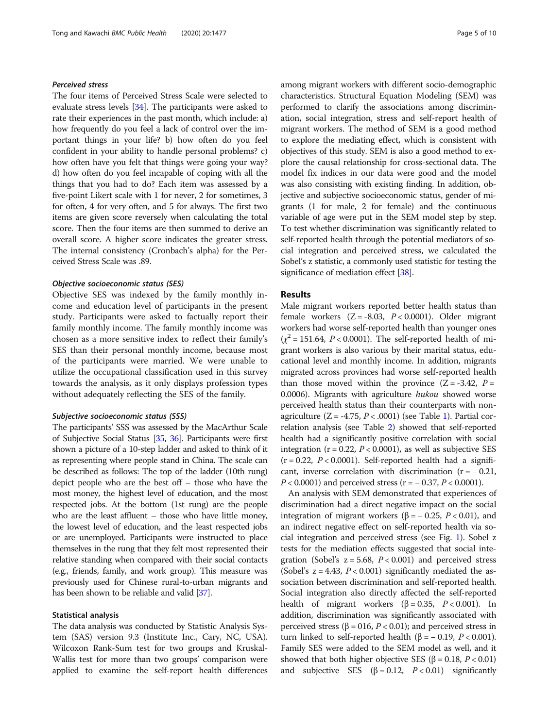## Perceived stress

The four items of Perceived Stress Scale were selected to evaluate stress levels [\[34\]](#page-8-0). The participants were asked to rate their experiences in the past month, which include: a) how frequently do you feel a lack of control over the important things in your life? b) how often do you feel confident in your ability to handle personal problems? c) how often have you felt that things were going your way? d) how often do you feel incapable of coping with all the things that you had to do? Each item was assessed by a five-point Likert scale with 1 for never, 2 for sometimes, 3 for often, 4 for very often, and 5 for always. The first two items are given score reversely when calculating the total score. Then the four items are then summed to derive an overall score. A higher score indicates the greater stress. The internal consistency (Cronbach's alpha) for the Perceived Stress Scale was .89.

#### Objective socioeconomic status (SES)

Objective SES was indexed by the family monthly income and education level of participants in the present study. Participants were asked to factually report their family monthly income. The family monthly income was chosen as a more sensitive index to reflect their family's SES than their personal monthly income, because most of the participants were married. We were unable to utilize the occupational classification used in this survey towards the analysis, as it only displays profession types without adequately reflecting the SES of the family.

### Subjective socioeconomic status (SSS)

The participants' SSS was assessed by the MacArthur Scale of Subjective Social Status [\[35,](#page-8-0) [36\]](#page-8-0). Participants were first shown a picture of a 10-step ladder and asked to think of it as representing where people stand in China. The scale can be described as follows: The top of the ladder (10th rung) depict people who are the best off – those who have the most money, the highest level of education, and the most respected jobs. At the bottom (1st rung) are the people who are the least affluent – those who have little money, the lowest level of education, and the least respected jobs or are unemployed. Participants were instructed to place themselves in the rung that they felt most represented their relative standing when compared with their social contacts (e.g., friends, family, and work group). This measure was previously used for Chinese rural-to-urban migrants and has been shown to be reliable and valid [[37](#page-8-0)].

#### Statistical analysis

The data analysis was conducted by Statistic Analysis System (SAS) version 9.3 (Institute Inc., Cary, NC, USA). Wilcoxon Rank-Sum test for two groups and Kruskal-Wallis test for more than two groups' comparison were applied to examine the self-report health differences among migrant workers with different socio-demographic characteristics. Structural Equation Modeling (SEM) was performed to clarify the associations among discrimination, social integration, stress and self-report health of migrant workers. The method of SEM is a good method to explore the mediating effect, which is consistent with objectives of this study. SEM is also a good method to explore the causal relationship for cross-sectional data. The model fix indices in our data were good and the model was also consisting with existing finding. In addition, objective and subjective socioeconomic status, gender of migrants (1 for male, 2 for female) and the continuous variable of age were put in the SEM model step by step. To test whether discrimination was significantly related to self-reported health through the potential mediators of social integration and perceived stress, we calculated the Sobel's z statistic, a commonly used statistic for testing the significance of mediation effect [\[38\]](#page-8-0).

#### Results

Male migrant workers reported better health status than female workers  $(Z = -8.03, P < 0.0001)$ . Older migrant workers had worse self-reported health than younger ones  $(\chi^2 = 151.64, P < 0.0001)$ . The self-reported health of migrant workers is also various by their marital status, educational level and monthly income. In addition, migrants migrated across provinces had worse self-reported health than those moved within the province  $(Z = -3.42, P =$ 0.0006). Migrants with agriculture hukou showed worse perceived health status than their counterparts with nonagriculture ( $Z = -4.75$ ,  $P < .0001$  $P < .0001$ ) (see Table 1). Partial correlation analysis (see Table [2\)](#page-5-0) showed that self-reported health had a significantly positive correlation with social integration ( $r = 0.22$ ,  $P < 0.0001$ ), as well as subjective SES  $(r = 0.22, P < 0.0001)$ . Self-reported health had a significant, inverse correlation with discrimination  $(r = -0.21,$  $P < 0.0001$ ) and perceived stress (r =  $-0.37$ ,  $P < 0.0001$ ).

An analysis with SEM demonstrated that experiences of discrimination had a direct negative impact on the social integration of migrant workers ( $β = -0.25$ ,  $P < 0.01$ ), and an indirect negative effect on self-reported health via social integration and perceived stress (see Fig. [1](#page-5-0)). Sobel z tests for the mediation effects suggested that social integration (Sobel's  $z = 5.68$ ,  $P < 0.001$ ) and perceived stress (Sobel's  $z = 4.43$ ,  $P < 0.001$ ) significantly mediated the association between discrimination and self-reported health. Social integration also directly affected the self-reported health of migrant workers ( $β = 0.35$ ,  $P < 0.001$ ). In addition, discrimination was significantly associated with perceived stress ( $β = 016$ ,  $P < 0.01$ ); and perceived stress in turn linked to self-reported health (β =  $-$  0.19, P < 0.001). Family SES were added to the SEM model as well, and it showed that both higher objective SES ( $\beta$  = 0.18, P < 0.01) and subjective SES ( $\beta = 0.12$ ,  $P < 0.01$ ) significantly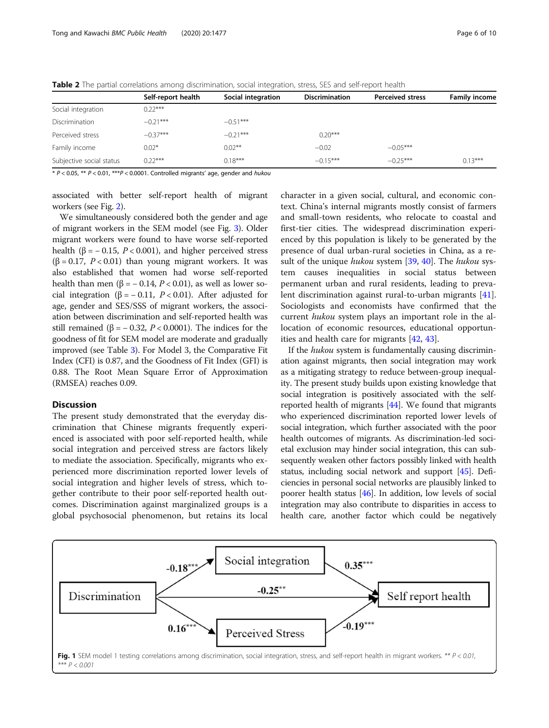|                          | Self-report health | Social integration | <b>Discrimination</b> | <b>Perceived stress</b> | <b>Family income</b> |
|--------------------------|--------------------|--------------------|-----------------------|-------------------------|----------------------|
| Social integration       | $0.22***$          |                    |                       |                         |                      |
| <b>Discrimination</b>    | $-0.21***$         | $-0.51***$         |                       |                         |                      |
| Perceived stress         | $-0.37***$         | $-0.21***$         | $0.20***$             |                         |                      |
| Family income            | $0.02*$            | $0.02***$          | $-0.02$               | $-0.05***$              |                      |
| Subjective social status | $0.22***$          | $0.18***$          | $-0.15***$            | $-0.25***$              | $0.13***$            |
|                          |                    |                    |                       |                         |                      |

<span id="page-5-0"></span>Table 2 The partial correlations among discrimination, social integration, stress, SES and self-report health

 $* P < 0.05$ ,  $** P < 0.01$ ,  $*** P < 0.0001$ . Controlled migrants' age, gender and hukou

associated with better self-report health of migrant workers (see Fig. [2\)](#page-6-0).

We simultaneously considered both the gender and age of migrant workers in the SEM model (see Fig. [3\)](#page-6-0). Older migrant workers were found to have worse self-reported health (β =  $-$  0.15, *P* < 0.001), and higher perceived stress ( $\beta$  = 0.17, P < 0.01) than young migrant workers. It was also established that women had worse self-reported health than men (β = -0.14,  $P < 0.01$ ), as well as lower social integration ( $\beta$  = -0.11, P < 0.01). After adjusted for age, gender and SES/SSS of migrant workers, the association between discrimination and self-reported health was still remained (β = − 0.32,  $P$  < 0.0001). The indices for the goodness of fit for SEM model are moderate and gradually improved (see Table [3\)](#page-7-0). For Model 3, the Comparative Fit Index (CFI) is 0.87, and the Goodness of Fit Index (GFI) is 0.88. The Root Mean Square Error of Approximation (RMSEA) reaches 0.09.

#### **Discussion**

The present study demonstrated that the everyday discrimination that Chinese migrants frequently experienced is associated with poor self-reported health, while social integration and perceived stress are factors likely to mediate the association. Specifically, migrants who experienced more discrimination reported lower levels of social integration and higher levels of stress, which together contribute to their poor self-reported health outcomes. Discrimination against marginalized groups is a global psychosocial phenomenon, but retains its local

character in a given social, cultural, and economic context. China's internal migrants mostly consist of farmers and small-town residents, who relocate to coastal and first-tier cities. The widespread discrimination experienced by this population is likely to be generated by the presence of dual urban-rural societies in China, as a re-sult of the unique hukou system [[39](#page-8-0), [40](#page-8-0)]. The hukou system causes inequalities in social status between permanent urban and rural residents, leading to prevalent discrimination against rural-to-urban migrants [\[41](#page-8-0)]. Sociologists and economists have confirmed that the current hukou system plays an important role in the allocation of economic resources, educational opportunities and health care for migrants [[42](#page-8-0), [43](#page-8-0)].

If the hukou system is fundamentally causing discrimination against migrants, then social integration may work as a mitigating strategy to reduce between-group inequality. The present study builds upon existing knowledge that social integration is positively associated with the selfreported health of migrants [\[44\]](#page-8-0). We found that migrants who experienced discrimination reported lower levels of social integration, which further associated with the poor health outcomes of migrants. As discrimination-led societal exclusion may hinder social integration, this can subsequently weaken other factors possibly linked with health status, including social network and support [\[45\]](#page-8-0). Deficiencies in personal social networks are plausibly linked to poorer health status [[46\]](#page-8-0). In addition, low levels of social integration may also contribute to disparities in access to health care, another factor which could be negatively

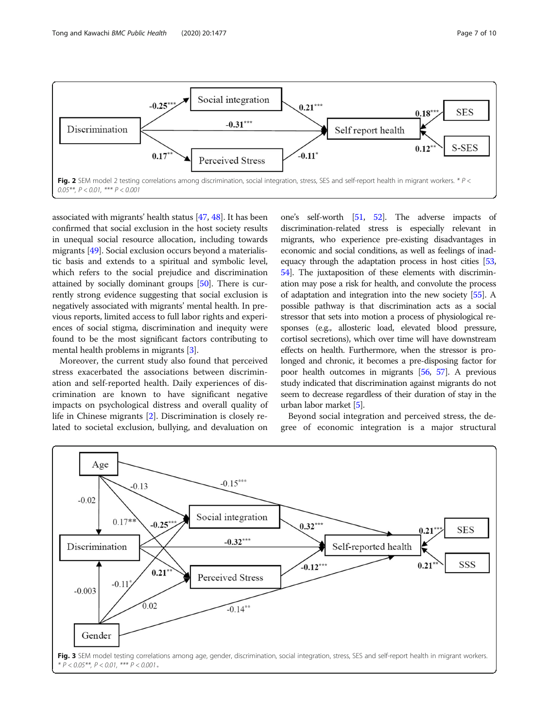<span id="page-6-0"></span>

associated with migrants' health status [\[47,](#page-8-0) [48](#page-8-0)]. It has been confirmed that social exclusion in the host society results in unequal social resource allocation, including towards migrants [[49](#page-9-0)]. Social exclusion occurs beyond a materialistic basis and extends to a spiritual and symbolic level, which refers to the social prejudice and discrimination attained by socially dominant groups [[50](#page-9-0)]. There is currently strong evidence suggesting that social exclusion is negatively associated with migrants' mental health. In previous reports, limited access to full labor rights and experiences of social stigma, discrimination and inequity were found to be the most significant factors contributing to mental health problems in migrants [[3](#page-8-0)].

Moreover, the current study also found that perceived stress exacerbated the associations between discrimination and self-reported health. Daily experiences of discrimination are known to have significant negative impacts on psychological distress and overall quality of life in Chinese migrants [\[2](#page-8-0)]. Discrimination is closely related to societal exclusion, bullying, and devaluation on

one's self-worth [\[51](#page-9-0), [52\]](#page-9-0). The adverse impacts of discrimination-related stress is especially relevant in migrants, who experience pre-existing disadvantages in economic and social conditions, as well as feelings of inadequacy through the adaptation process in host cities [\[53](#page-9-0), [54](#page-9-0)]. The juxtaposition of these elements with discrimination may pose a risk for health, and convolute the process of adaptation and integration into the new society [[55\]](#page-9-0). A possible pathway is that discrimination acts as a social stressor that sets into motion a process of physiological responses (e.g., allosteric load, elevated blood pressure, cortisol secretions), which over time will have downstream effects on health. Furthermore, when the stressor is prolonged and chronic, it becomes a pre-disposing factor for poor health outcomes in migrants [[56](#page-9-0), [57\]](#page-9-0). A previous study indicated that discrimination against migrants do not seem to decrease regardless of their duration of stay in the urban labor market [\[5\]](#page-8-0).

Beyond social integration and perceived stress, the degree of economic integration is a major structural

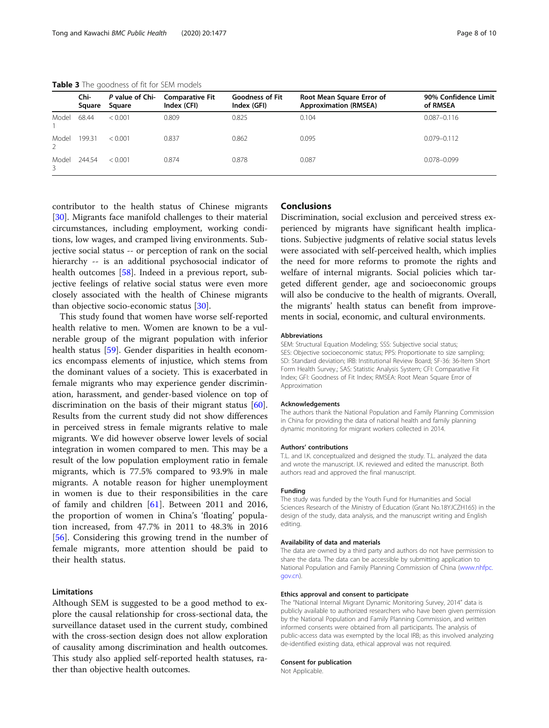<span id="page-7-0"></span>

|       | Chi-<br>Square | P value of Chi-<br>Square | <b>Comparative Fit</b><br>Index (CFI) | <b>Goodness of Fit</b><br>Index (GFI) | Root Mean Square Error of<br><b>Approximation (RMSEA)</b> | 90% Confidence Limit<br>of RMSEA |
|-------|----------------|---------------------------|---------------------------------------|---------------------------------------|-----------------------------------------------------------|----------------------------------|
| Model | 68.44          | < 0.001                   | 0.809                                 | 0.825                                 | 0.104                                                     | $0.087 - 0.116$                  |
| Model | 199.31         | < 0.001                   | 0.837                                 | 0.862                                 | 0.095                                                     | $0.079 - 0.112$                  |
| Model | 244.54         | < 0.001                   | 0.874                                 | 0.878                                 | 0.087                                                     | $0.078 - 0.099$                  |

contributor to the health status of Chinese migrants [[30\]](#page-8-0). Migrants face manifold challenges to their material circumstances, including employment, working conditions, low wages, and cramped living environments. Subjective social status -- or perception of rank on the social hierarchy -- is an additional psychosocial indicator of health outcomes [\[58](#page-9-0)]. Indeed in a previous report, subjective feelings of relative social status were even more closely associated with the health of Chinese migrants than objective socio-economic status [[30\]](#page-8-0).

This study found that women have worse self-reported health relative to men. Women are known to be a vulnerable group of the migrant population with inferior health status [[59\]](#page-9-0). Gender disparities in health economics encompass elements of injustice, which stems from the dominant values of a society. This is exacerbated in female migrants who may experience gender discrimination, harassment, and gender-based violence on top of discrimination on the basis of their migrant status [\[60](#page-9-0)]. Results from the current study did not show differences in perceived stress in female migrants relative to male migrants. We did however observe lower levels of social integration in women compared to men. This may be a result of the low population employment ratio in female migrants, which is 77.5% compared to 93.9% in male migrants. A notable reason for higher unemployment in women is due to their responsibilities in the care of family and children [[61\]](#page-9-0). Between 2011 and 2016, the proportion of women in China's 'floating' population increased, from 47.7% in 2011 to 48.3% in 2016 [[56\]](#page-9-0). Considering this growing trend in the number of female migrants, more attention should be paid to their health status.

## Limitations

Although SEM is suggested to be a good method to explore the causal relationship for cross-sectional data, the surveillance dataset used in the current study, combined with the cross-section design does not allow exploration of causality among discrimination and health outcomes. This study also applied self-reported health statuses, rather than objective health outcomes.

## **Conclusions**

Discrimination, social exclusion and perceived stress experienced by migrants have significant health implications. Subjective judgments of relative social status levels were associated with self-perceived health, which implies the need for more reforms to promote the rights and welfare of internal migrants. Social policies which targeted different gender, age and socioeconomic groups will also be conducive to the health of migrants. Overall, the migrants' health status can benefit from improvements in social, economic, and cultural environments.

#### **Abbreviations**

SEM: Structural Equation Modeling; SSS: Subjective social status; SES: Objective socioeconomic status; PPS: Proportionate to size sampling; SD: Standard deviation; IRB: Institutional Review Board; SF-36: 36-Item Short Form Health Survey.; SAS: Statistic Analysis System; CFI: Comparative Fit Index; GFI: Goodness of Fit Index; RMSEA: Root Mean Square Error of Approximation

#### Acknowledgements

The authors thank the National Population and Family Planning Commission in China for providing the data of national health and family planning dynamic monitoring for migrant workers collected in 2014.

#### Authors' contributions

T.L. and I.K. conceptualized and designed the study. T.L. analyzed the data and wrote the manuscript. I.K. reviewed and edited the manuscript. Both authors read and approved the final manuscript.

#### Funding

The study was funded by the Youth Fund for Humanities and Social Sciences Research of the Ministry of Education (Grant No.18YJCZH165) in the design of the study, data analysis, and the manuscript writing and English editing.

#### Availability of data and materials

The data are owned by a third party and authors do not have permission to share the data. The data can be accessible by submitting application to National Population and Family Planning Commission of China [\(www.nhfpc.](http://www.nhfpc.gov.cn) [gov.cn\)](http://www.nhfpc.gov.cn).

#### Ethics approval and consent to participate

The "National Internal Migrant Dynamic Monitoring Survey, 2014" data is publicly available to authorized researchers who have been given permission by the National Population and Family Planning Commission, and written informed consents were obtained from all participants. The analysis of public-access data was exempted by the local IRB; as this involved analyzing de-identified existing data, ethical approval was not required.

### Consent for publication

Not Applicable.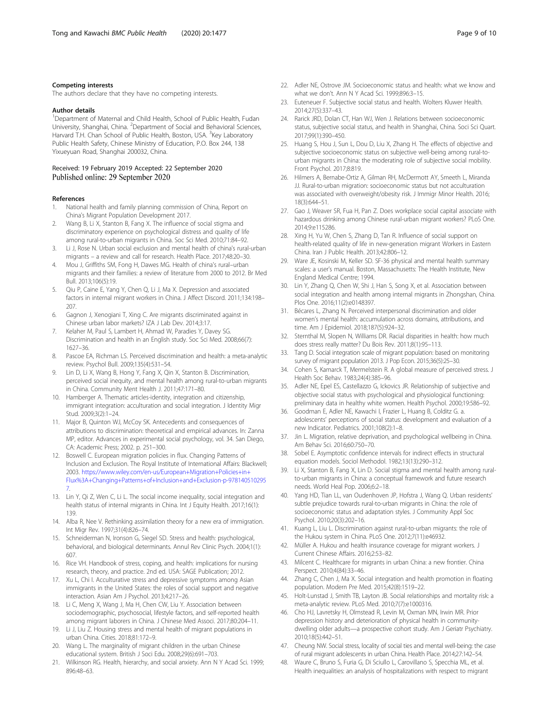#### <span id="page-8-0"></span>Competing interests

The authors declare that they have no competing interests.

#### Author details

<sup>1</sup>Department of Maternal and Child Health, School of Public Health, Fudan University, Shanghai, China. <sup>2</sup>Department of Social and Behavioral Sciences, Harvard T.H. Chan School of Public Health, Boston, USA. <sup>3</sup>Key Laboratory Public Health Safety, Chinese Ministry of Education, P.O. Box 244, 138 Yixueyuan Road, Shanghai 200032, China.

#### Received: 19 February 2019 Accepted: 22 September 2020 Published online: 29 September 2020

#### References

- 1. National health and family planning commission of China, Report on China's Migrant Population Development 2017.
- 2. Wang B, Li X, Stanton B, Fang X. The influence of social stigma and discriminatory experience on psychological distress and quality of life among rural-to-urban migrants in China. Soc Sci Med. 2010;71:84–92.
- 3. Li J, Rose N. Urban social exclusion and mental health of china's rural-urban migrants – a review and call for research. Health Place. 2017;48:20–30.
- 4. Mou J, Griffiths SM, Fong H, Dawes MG. Health of china's rural–urban migrants and their families: a review of literature from 2000 to 2012. Br Med Bull. 2013;106(5):19.
- 5. Qiu P, Caine E, Yang Y, Chen Q, Li J, Ma X. Depression and associated factors in internal migrant workers in China. J Affect Discord. 2011;134:198– 207.
- 6. Gagnon J, Xenogiani T, Xing C. Are migrants discriminated against in Chinese urban labor markets? IZA J Lab Dev. 2014;3:17.
- 7. Kelaher M, Paul S, Lambert H, Ahmad W, Paradies Y, Davey SG. Discrimination and health in an English study. Soc Sci Med. 2008;66(7): 1627–36.
- 8. Pascoe EA, Richman LS. Perceived discrimination and health: a meta-analytic review. Psychol Bull. 2009;135(4):531–54.
- 9. Lin D, Li X, Wang B, Hong Y, Fang X, Qin X, Stanton B. Discrimination, perceived social inequity, and mental health among rural-to-urban migrants in China. Community Ment Health J. 2011;47:171–80.
- 10. Hamberger A. Thematic articles-identity, integration and citizenship, immigrant integration: acculturation and social integration. J Identity Migr Stud. 2009;3(2):1–24.
- 11. Major B, Quinton WJ, McCoy SK. Antecedents and consequences of attributions to discrimination: theoretical and empirical advances. In: Zanna MP, editor. Advances in experimental social psychology, vol. 34. San Diego, CA: Academic Press; 2002. p. 251–300.
- 12. Boswell C. European migration policies in flux. Changing Patterns of Inclusion and Exclusion. The Royal Institute of International Affairs: Blackwell; 2003. [https://www.wiley.com/en-us/European+Migration+Policies+in+](https://www.wiley.com/en-us/European+Migration+Policies+in+Flux%3A+Changing+Patterns+of+Inclusion+and+Exclusion-p-9781405102957) [Flux%3A+Changing+Patterns+of+Inclusion+and+Exclusion-p-978140510295](https://www.wiley.com/en-us/European+Migration+Policies+in+Flux%3A+Changing+Patterns+of+Inclusion+and+Exclusion-p-9781405102957) [7](https://www.wiley.com/en-us/European+Migration+Policies+in+Flux%3A+Changing+Patterns+of+Inclusion+and+Exclusion-p-9781405102957).
- 13. Lin Y, Qi Z, Wen C, Li L. The social income inequality, social integration and health status of internal migrants in China. Int J Equity Health. 2017;16(1): 139.
- 14. Alba R, Nee V. Rethinking assimilation theory for a new era of immigration. Int Migr Rev. 1997;31(4):826–74.
- 15. Schneiderman N, Ironson G, Siegel SD. Stress and health: psychological, behavioral, and biological determinants. Annul Rev Clinic Psych. 2004;1(1): 607.
- 16. Rice VH. Handbook of stress, coping, and health: implications for nursing research, theory, and practice. 2nd ed. USA: SAGE Publication; 2012.
- 17. Xu L, Chi I. Acculturative stress and depressive symptoms among Asian immigrants in the United States: the roles of social support and negative interaction. Asian Am J Psychol. 2013;4:217–26.
- 18. Li C, Meng X, Wang J, Ma H, Chen CW, Liu Y. Association between sociodemographic, psychosocial, lifestyle factors, and self-reported health among migrant laborers in China. J Chinese Med Associ. 2017;80:204–11.
- 19. Li J, Liu Z. Housing stress and mental health of migrant populations in urban China. Cities. 2018;81:172–9.
- 20. Wang L. The marginality of migrant children in the urban Chinese educational system. British J Soci Edu. 2008;29(6):691–703.
- 21. Wilkinson RG. Health, hierarchy, and social anxiety. Ann N Y Acad Sci. 1999; 896:48–63.
- 
- 22. Adler NE, Ostrove JM. Socioeconomic status and health: what we know and what we don't. Ann N Y Acad Sci. 1999;896:3–15.
- Euteneuer F. Subjective social status and health. Wolters Kluwer Health. 2014;27(5):337–43.
- 24. Rarick JRD, Dolan CT, Han WJ, Wen J. Relations between socioeconomic status, subjective social status, and health in Shanghai, China. Soci Sci Quart. 2017;99(1):390–450.
- 25. Huang S, Hou J, Sun L, Dou D, Liu X, Zhang H. The effects of objective and subjective socioeconomic status on subjective well-being among rural-tourban migrants in China: the moderating role of subjective social mobility. Front Psychol. 2017;8:819.
- 26. Hilmers A, Bernabe-Ortiz A, Gilman RH, McDermott AY, Smeeth L, Miranda JJ. Rural-to-urban migration: socioeconomic status but not acculturation was associated with overweight/obesity risk. J Immigr Minor Health. 2016; 18(3):644–51.
- 27. Gao J, Weaver SR, Fua H, Pan Z. Does workplace social capital associate with hazardous drinking among Chinese rural-urban migrant workers? PLoS One. 2014;9:e115286.
- 28. Xing H, Yu W, Chen S, Zhang D, Tan R. Influence of social support on health-related quality of life in new-generation migrant Workers in Eastern China. Iran J Public Health. 2013;42:806–12.
- 29. Ware JE, Kosinski M, Keller SD. SF-36 physical and mental health summary scales: a user's manual. Boston, Massachusetts: The Health Institute, New England Medical Centre; 1994.
- 30. Lin Y, Zhang Q, Chen W, Shi J, Han S, Song X, et al. Association between social integration and health among internal migrants in Zhongshan, China. Plos One. 2016;11(2):e0148397.
- 31. Bécares L, Zhang N. Perceived interpersonal discrimination and older women's mental health: accumulation across domains, attributions, and time. Am J Epidemiol. 2018;187(5):924–32.
- 32. Sternthal M, Slopen N, Williams DR. Racial disparities in health: how much does stress really matter? Du Bois Rev. 2011;8(1):95–113.
- 33. Tang D. Social integration scale of migrant population: based on monitoring survey of migrant population 2013. J Pop Econ. 2015;36(5):25–30.
- 34. Cohen S, Kamarck T, Mermelstein R. A global measure of perceived stress. J Health Soc Behav. 1983;24(4):385–96.
- 35. Adler NE, Epel ES, Castellazzo G, Ickovics JR. Relationship of subjective and objective social status with psychological and physiological functioning: preliminary data in healthy white women. Health Psychol. 2000;19:586–92.
- 36. Goodman E, Adler NE, Kawachi I, Frazier L, Huang B, Colditz G. a. adolescents' perceptions of social status: development and evaluation of a new Indicator. Pediatrics. 2001;108(2):1–8.
- 37. Jin L. Migration, relative deprivation, and psychological wellbeing in China. Am Behav Sci. 2016;60:750–70.
- 38. Sobel E. Asymptotic confidence intervals for indirect effects in structural equation models. Sociol Methodol. 1982;13(13):290–312.
- 39. Li X, Stanton B, Fang X, Lin D. Social stigma and mental health among ruralto-urban migrants in China: a conceptual framework and future research needs. World Heal Pop. 2006;6:2–18.
- 40. Yang HD, Tian LL, van Oudenhoven JP, Hofstra J, Wang Q. Urban residents' subtle prejudice towards rural-to-urban migrants in China: the role of socioeconomic status and adaptation styles. J Community Appl Soc Psychol. 2010;20(3):202–16.
- 41. Kuang L, Liu L. Discrimination against rural-to-urban migrants: the role of the Hukou system in China. PLoS One. 2012;7(11):e46932.
- 42. Müller A. Hukou and health insurance coverage for migrant workers. J Current Chinese Affairs. 2016;2:53–82.
- 43. Milcent C. Healthcare for migrants in urban China: a new frontier. China Perspect. 2010;4(84):33–46.
- 44. Zhang C, Chen J, Ma X. Social integration and health promotion in floating population. Modern Pre Med. 2015;42(8):1519–22.
- 45. Holt-Lunstad J, Smith TB, Layton JB. Social relationships and mortality risk: a meta-analytic review. PLoS Med. 2010;7(7):e1000316.
- 46. Cho HJ, Lavretsky H, Olmstead R, Levin M, Oxman MN, Irwin MR. Prior depression history and deterioration of physical health in communitydwelling older adults—a prospective cohort study. Am J Geriatr Psychiatry. 2010;18(5):442–51.
- 47. Cheung NW. Social stress, locality of social ties and mental well-being: the case of rural migrant adolescents in urban China. Health Place. 2014;27:142–54.
- 48. Waure C, Bruno S, Furia G, Di Sciullo L, Carovillano S, Specchia ML, et al. Health inequalities: an analysis of hospitalizations with respect to migrant